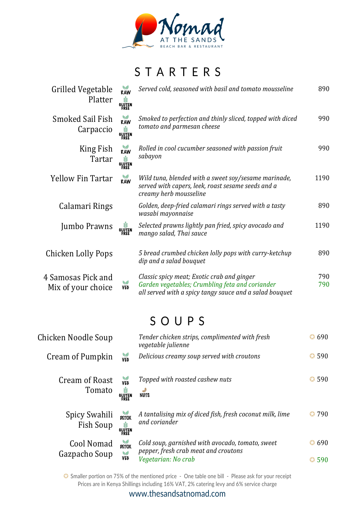

## STARTERS

| Grilled Vegetable<br>Platter             | RAW<br><b>GLUTEN</b><br>GLUTEN<br>FREE | Served cold, seasoned with basil and tomato mousseline                                                                                                   |            |
|------------------------------------------|----------------------------------------|----------------------------------------------------------------------------------------------------------------------------------------------------------|------------|
| <b>Smoked Sail Fish</b><br>Carpaccio     | RAW<br>Ý<br><b>GLUTEN</b>              | Smoked to perfection and thinly sliced, topped with diced<br>tomato and parmesan cheese                                                                  | 990        |
| King Fish<br>Tartar                      | RAW<br>₩<br><b>GLUTEN</b>              | Rolled in cool cucumber seasoned with passion fruit<br>sabayon                                                                                           | 990        |
| <b>Yellow Fin Tartar</b>                 | RAW                                    | Wild tuna, blended with a sweet soy/sesame marinade,<br>served with capers, leek, roast sesame seeds and a<br>creamy herb mousseline                     | 1190       |
| Calamari Rings                           |                                        | Golden, deep-fried calamari rings served with a tasty<br>wasabi mayonnaise                                                                               | 890        |
| Jumbo Prawns                             | GLUTEN<br>Gluten<br>Free               | Selected prawns lightly pan fried, spicy avocado and<br>mango salad, Thai sauce                                                                          | 1190       |
| Chicken Lolly Pops                       |                                        | 5 bread crumbed chicken lolly pops with curry-ketchup<br>dip and a salad bouquet                                                                         | 890        |
| 4 Samosas Pick and<br>Mix of your choice | V<br><b>VEG</b>                        | Classic spicy meat; Exotic crab and ginger<br>Garden vegetables; Crumbling feta and coriander<br>all served with a spicy tangy sauce and a salad bouquet | 790<br>790 |

### SOUPS

| Chicken Noodle Soup         |                                   | Tender chicken strips, complimented with fresh<br>vegetable julienne                     | $\bullet$ 690 |
|-----------------------------|-----------------------------------|------------------------------------------------------------------------------------------|---------------|
| Cream of Pumpkin            | <b>VEG</b>                        | Delicious creamy soup served with croutons                                               | $\bullet$ 590 |
| Cream of Roast<br>Tomato    | VEG<br>Ý<br>GLUTEN<br><b>FREE</b> | Topped with roasted cashew nuts<br><b>NUTS</b>                                           | $\bullet$ 590 |
| Spicy Swahili<br>Fish Soup  | <b>DETOX</b><br><b>GLUTEN</b>     | A tantalising mix of diced fish, fresh coconut milk, lime<br>and coriander               | 790<br>63.    |
| Cool Nomad<br>Gazpacho Soup | <b>DETOX</b><br>$\mathbf{v}$      | Cold soup, garnished with avocado, tomato, sweet<br>pepper, fresh crab meat and croutons | 690           |
|                             | <b>VEG</b>                        | Vegetarian: No crab                                                                      | 590           |

✪ Smaller portion on 75% of the mentioned price - One table one bill - Please ask for your receipt Prices are in Kenya Shillings including 16% VAT, 2% catering levy and 6% service charge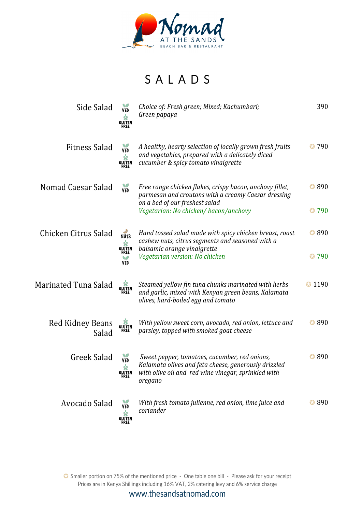

# SALADS

| Side Salad                | <b>VEG</b><br><b>GLUTEN</b><br>FREE    | Choice of: Fresh green; Mixed; Kachumbari;<br>Green papaya                                                                                                              | 390            |
|---------------------------|----------------------------------------|-------------------------------------------------------------------------------------------------------------------------------------------------------------------------|----------------|
| Fitness Salad             | VE <sub>0</sub><br><b>GLUTEN</b>       | A healthy, hearty selection of locally grown fresh fruits<br>and vegetables, prepared with a delicately diced<br>cucumber & spicy tomato vinaigrette                    | 3790           |
| Nomad Caesar Salad        | VE <sub>0</sub>                        | Free range chicken flakes, crispy bacon, anchovy fillet,<br>parmesan and croutons with a creamy Caesar dressing<br>on a bed of our freshest salad                       | $\bigodot$ 890 |
|                           |                                        | Vegetarian: No chicken/bacon/anchovy                                                                                                                                    | $Q$ 790        |
| Chicken Citrus Salad      | <b>NUTS</b>                            | Hand tossed salad made with spicy chicken breast, roast<br>cashew nuts, citrus segments and seasoned with a                                                             | $\bigodot$ 890 |
|                           | <b>GLUTEN</b><br>VEG                   | balsamic orange vinaigrette<br>Vegetarian version: No chicken                                                                                                           | $Q$ 790        |
| Marinated Tuna Salad      | <b>GLUTEN</b><br>FREE                  | Steamed yellow fin tuna chunks marinated with herbs<br>and garlic, mixed with Kenyan green beans, Kalamata<br>olives, hard-boiled egg and tomato                        | $\odot$ 1190   |
| Red Kidney Beans<br>Salad | <b>GLUTEN</b><br>FREE                  | With yellow sweet corn, avocado, red onion, lettuce and<br>parsley, topped with smoked goat cheese                                                                      | $\bigodot$ 890 |
| Greek Salad               | VE <sub>G</sub><br>Ý<br>GLUTEN<br>FREE | Sweet pepper, tomatoes, cucumber, red onions,<br>Kalamata olives and feta cheese, generously drizzled<br>with olive oil and red wine vinegar, sprinkled with<br>oregano | $\bigcirc$ 890 |
| Avocado Salad             | <b>VEG</b><br><b>GLUTEN</b><br>FREE    | With fresh tomato julienne, red onion, lime juice and<br>coriander                                                                                                      | $\bigcirc$ 890 |

✪ Smaller portion on 75% of the mentioned price - One table one bill - Please ask for your receipt Prices are in Kenya Shillings including 16% VAT, 2% catering levy and 6% service charge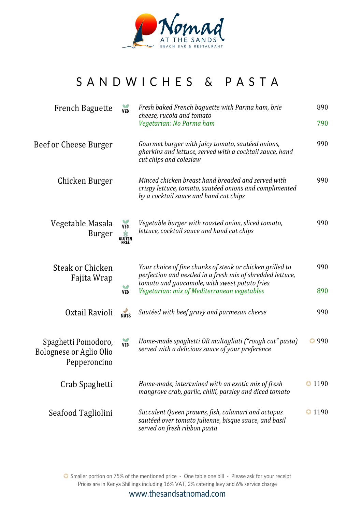

## SANDWICHES & PASTA

| <b>French Baguette</b>                                         | VEG                                 | Fresh baked French baguette with Parma ham, brie<br>cheese, rucola and tomato<br>Vegetarian: No Parma ham                                                                                                               |                |
|----------------------------------------------------------------|-------------------------------------|-------------------------------------------------------------------------------------------------------------------------------------------------------------------------------------------------------------------------|----------------|
| Beef or Cheese Burger                                          |                                     | Gourmet burger with juicy tomato, sautéed onions,<br>gherkins and lettuce, served with a cocktail sauce, hand<br>cut chips and coleslaw                                                                                 | 990            |
| Chicken Burger                                                 |                                     | Minced chicken breast hand breaded and served with<br>crispy lettuce, tomato, sautéed onions and complimented<br>by a cocktail sauce and hand cut chips                                                                 | 990            |
| Vegetable Masala<br><b>Burger</b>                              | <b>VEG</b><br><b>OLUTEN</b><br>FREE | Vegetable burger with roasted onion, sliced tomato,<br>lettuce, cocktail sauce and hand cut chips                                                                                                                       | 990            |
| Steak or Chicken<br>Fajita Wrap<br>w<br><b>VEG</b>             |                                     | Your choice of fine chunks of steak or chicken grilled to<br>perfection and nestled in a fresh mix of shredded lettuce,<br>tomato and guacamole, with sweet potato fries<br>Vegetarian: mix of Mediterranean vegetables | 990<br>890     |
| Oxtail Ravioli                                                 | <b>NUTS</b>                         | Sautéed with beef gravy and parmesan cheese                                                                                                                                                                             | 990            |
| Spaghetti Pomodoro,<br>Bolognese or Aglio Olio<br>Pepperoncino | <b>VEG</b>                          | Home-made spaghetti OR maltagliati ("rough cut" pasta)<br>served with a delicious sauce of your preference                                                                                                              | $\bullet$ 990  |
| Crab Spaghetti                                                 |                                     | Home-made, intertwined with an exotic mix of fresh<br>mangrove crab, garlic, chilli, parsley and diced tomato                                                                                                           | $\bullet$ 1190 |
| Seafood Tagliolini                                             |                                     | Succulent Queen prawns, fish, calamari and octopus<br>sautéed over tomato julienne, bisque sauce, and basil<br>served on fresh ribbon pasta                                                                             | $\bullet$ 1190 |

✪ Smaller portion on 75% of the mentioned price - One table one bill - Please ask for your receipt Prices are in Kenya Shillings including 16% VAT, 2% catering levy and 6% service charge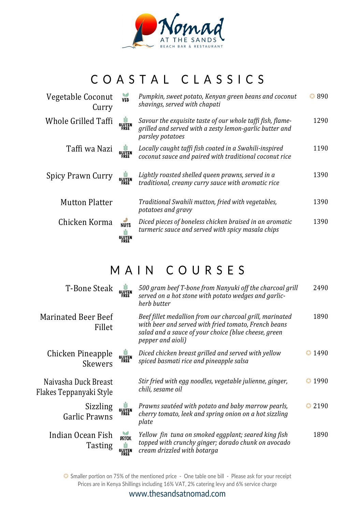

# COASTAL CLASSICS

| Vegetable Coconut<br>Curry | <b>VEG</b>                                | Pumpkin, sweet potato, Kenyan green beans and coconut<br>shavings, served with chapati                                                    |      |
|----------------------------|-------------------------------------------|-------------------------------------------------------------------------------------------------------------------------------------------|------|
| Whole Grilled Taffi        | <b>GLUTEN</b><br>FREE                     | Savour the exquisite taste of our whole taffi fish, flame-<br>grilled and served with a zesty lemon-garlic butter and<br>parsley potatoes | 1290 |
| Taffi wa Nazi              | <b>GLUTEN</b><br>FREE                     | Locally caught taffi fish coated in a Swahili-inspired<br>coconut sauce and paired with traditional coconut rice                          | 1190 |
| Spicy Prawn Curry          | <b>GLUTEN</b><br>FREE                     | Lightly roasted shelled queen prawns, served in a<br>traditional, creamy curry sauce with aromatic rice                                   | 1390 |
| <b>Mutton Platter</b>      |                                           | Traditional Swahili mutton, fried with vegetables,<br>potatoes and gravy                                                                  | 1390 |
| Chicken Korma              | <b>NUTS</b><br>ಳ<br><b>GLUTEN</b><br>FREE | Diced pieces of boneless chicken braised in an aromatic<br>turmeric sauce and served with spicy masala chips                              | 1390 |

### MAIN COURSES

| <b>T-Bone Steak</b>                             | <b>GLUTEN</b><br>FREE                 | 500 gram beef T-bone from Nanyuki off the charcoal grill<br>served on a hot stone with potato wedges and garlic-<br>herb butter                                                               |                   |
|-------------------------------------------------|---------------------------------------|-----------------------------------------------------------------------------------------------------------------------------------------------------------------------------------------------|-------------------|
| <b>Marinated Beer Beef</b><br>Fillet            |                                       | Beef fillet medallion from our charcoal grill, marinated<br>with beer and served with fried tomato, French beans<br>salad and a sauce of your choice (blue cheese, green<br>pepper and aioli) | 1890              |
| Chicken Pineapple<br>Skewers                    | <b>GLUTEN</b><br>FREE                 | Diced chicken breast grilled and served with yellow<br>spiced basmati rice and pineapple salsa                                                                                                | $\bigodot$ 1490   |
| Naivasha Duck Breast<br>Flakes Teppanyaki Style |                                       | Stir fried with egg noodles, vegetable julienne, ginger,<br>chili, sesame oil                                                                                                                 | $\bigodot$ 1990   |
| Sizzling<br><b>Garlic Prawns</b>                | <b>GLUTEN</b><br>FREE                 | Prawns sautéed with potato and baby marrow pearls,<br>cherry tomato, leek and spring onion on a hot sizzling<br>plate                                                                         | 2190<br>$\bullet$ |
| Indian Ocean Fish<br><b>Tasting</b>             | <b>DETOX</b><br><b>OLUTEN</b><br>FREE | Yellow fin tuna on smoked eggplant; seared king fish<br>topped with crunchy ginger; dorado chunk on avocado<br>cream drizzled with botarga                                                    | 1890              |

✪ Smaller portion on 75% of the mentioned price - One table one bill - Please ask for your receipt Prices are in Kenya Shillings including 16% VAT, 2% catering levy and 6% service charge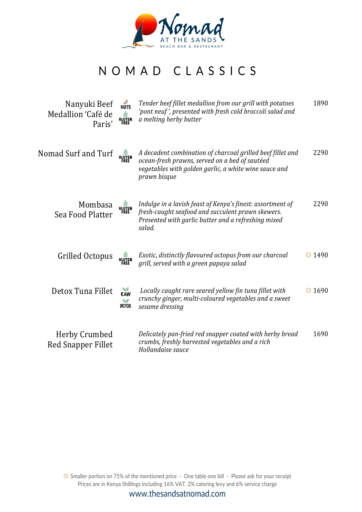

#### NOMAD CLASSICS

| Nanyuki Beef<br>Medallion 'Café de<br>Paris' | <b>NUTS</b><br>Ý<br><b>GLUTEN</b> | Tender beef fillet medallion from our grill with potatoes<br>'pont neuf', presented with fresh cold broccoli salad and<br>a melting herby butter                                      |                 |
|----------------------------------------------|-----------------------------------|---------------------------------------------------------------------------------------------------------------------------------------------------------------------------------------|-----------------|
| Nomad Surf and Turf                          | <b>GLUTEN</b><br>FREE             | A decadent combination of charcoal grilled beef fillet and<br>ocean-fresh prawns, served on a bed of sautéed<br>vegetables with golden garlic, a white wine sauce and<br>prawn bisque | 2290            |
| Mombasa<br>Sea Food Platter                  | GLUTEN<br><b>FREE</b>             | Indulge in a lavish feast of Kenya's finest: assortment of<br>fresh-caught seafood and succulent prawn skewers.<br>Presented with garlic butter and a refreshing mixed<br>salad.      | 2290            |
| Grilled Octopus                              | <b>GLUTEN</b><br>FREE             | Exotic, distinctly flavoured octopus from our charcoal<br>grill, served with a green papaya salad                                                                                     | $\bigodot$ 1490 |
| Detox Tuna Fillet                            | RAW<br><b>Sal</b><br><b>DETOX</b> | Locally caught rare seared yellow fin tuna fillet with<br>crunchy ginger, multi-coloured vegetables and a sweet<br>sesame dressing                                                    | $\bigodot$ 1690 |
| Herby Crumbed<br><b>Red Snapper Fillet</b>   |                                   | Delicately pan-fried red snapper coated with herby bread<br>crumbs, freshly harvested vegetables and a rich<br>Hollandaise sauce                                                      | 1690            |

✪ Smaller portion on 75% of the mentioned price - One table one bill - Please ask for your receipt Prices are in Kenya Shillings including 16% VAT, 2% catering levy and 6% service charge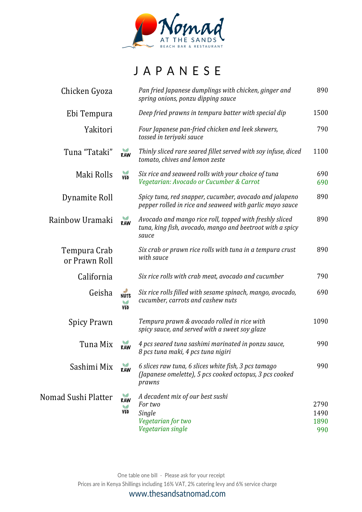

## JAPANESE

| Chicken Gyoza                 |                         | Pan fried Japanese dumplings with chicken, ginger and<br>spring onions, ponzu dipping sauce                                   |              |
|-------------------------------|-------------------------|-------------------------------------------------------------------------------------------------------------------------------|--------------|
| Ebi Tempura                   |                         | Deep fried prawns in tempura batter with special dip                                                                          | 1500         |
| Yakitori                      |                         | Four Japanese pan-fried chicken and leek skewers,<br>tossed in teriyaki sauce                                                 | 790          |
| Tuna "Tataki"                 | RAW                     | Thinly sliced rare seared fillet served with soy infuse, diced<br>tomato, chives and lemon zeste                              |              |
| Maki Rolls                    | VE <sub>0</sub>         | Six rice and seaweed rolls with your choice of tuna<br>Vegetarian: Avocado or Cucumber & Carrot                               |              |
| Dynamite Roll                 |                         | Spicy tuna, red snapper, cucumber, avocado and jalapeno<br>pepper rolled in rice and seaweed with garlic mayo sauce           | 890          |
| Rainbow Uramaki               | RAW                     | Avocado and mango rice roll, topped with freshly sliced<br>tuna, king fish, avocado, mango and beetroot with a spicy<br>sauce | 890          |
| Tempura Crab<br>or Prawn Roll |                         | Six crab or prawn rice rolls with tuna in a tempura crust<br>with sauce                                                       | 890          |
| California                    |                         | Six rice rolls with crab meat, avocado and cucumber                                                                           | 790          |
| Geisha                        | <b>NUTS</b><br>w<br>VEG | Six rice rolls filled with sesame spinach, mango, avocado,<br>cucumber, carrots and cashew nuts                               | 690          |
| <b>Spicy Prawn</b>            |                         | Tempura prawn & avocado rolled in rice with<br>spicy sauce, and served with a sweet soy glaze                                 | 1090         |
| Tuna Mix                      | RAW                     | 4 pcs seared tuna sashimi marinated in ponzu sauce,<br>8 pcs tuna maki, 4 pcs tuna nigiri                                     | 990          |
| Sashimi Mix                   | RAW                     | 6 slices raw tuna, 6 slices white fish, 3 pcs tamago<br>(Japanese omelette), 5 pcs cooked octopus, 3 pcs cooked<br>prawns     | 990          |
| Nomad Sushi Platter           | RAW                     | A decadent mix of our best sushi                                                                                              |              |
|                               | w<br><b>VEG</b>         | For two<br>Single                                                                                                             | 2790<br>1490 |
|                               |                         | Vegetarian for two                                                                                                            | 1890         |
|                               |                         | Vegetarian single                                                                                                             | 990          |